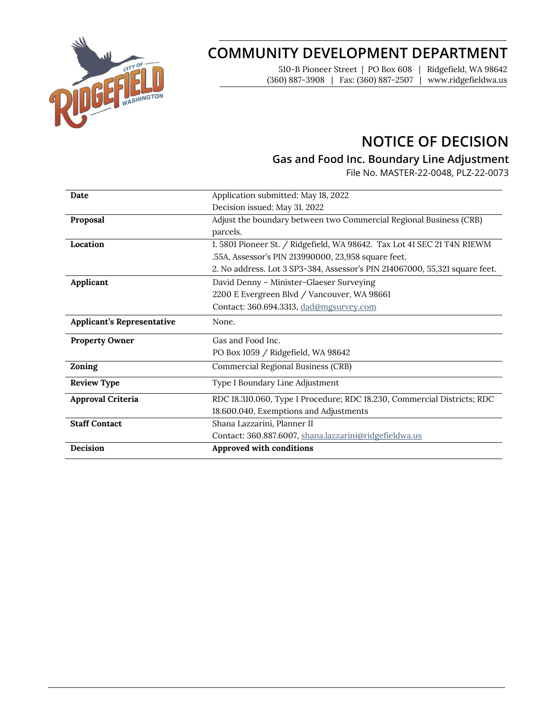

# **COMMUNITY DEVELOPMENT DEPARTMENT**

510-B Pioneer Street | PO Box 608 | Ridgefield, WA 98642 (360) 887-3908 | Fax: (360) 887-2507 | www.ridgefieldwa.us

## **NOTICE OF DECISION**

### **Gas and Food Inc. Boundary Line Adjustment**

File No. MASTER-22-0048, PLZ-22-0073

| Date                              | Application submitted: May 18, 2022                                         |  |
|-----------------------------------|-----------------------------------------------------------------------------|--|
|                                   | Decision issued: May 31. 2022                                               |  |
| Proposal                          | Adjust the boundary between two Commercial Regional Business (CRB)          |  |
|                                   | parcels.                                                                    |  |
| Location                          | 1.5801 Pioneer St. / Ridgefield, WA 98642. Tax Lot 41 SEC 21 T4N R1EWM      |  |
|                                   | .55A, Assessor's PIN 213990000, 23,958 square feet.                         |  |
|                                   | 2. No address. Lot 3 SP3-384, Assessor's PIN 214067000, 55,321 square feet. |  |
| Applicant                         | David Denny - Minister-Glaeser Surveying                                    |  |
|                                   | 2200 E Evergreen Blvd / Vancouver, WA 98661                                 |  |
|                                   | Contact: 360.694.3313, dad@mgsurvey.com                                     |  |
| <b>Applicant's Representative</b> | None.                                                                       |  |
| <b>Property Owner</b>             | Gas and Food Inc.                                                           |  |
|                                   | PO Box 1059 / Ridgefield, WA 98642                                          |  |
| Zoning                            | Commercial Regional Business (CRB)                                          |  |
| <b>Review Type</b>                | Type I Boundary Line Adjustment                                             |  |
| Approval Criteria                 | RDC 18.310.060, Type I Procedure; RDC 18.230, Commercial Districts; RDC     |  |
|                                   | 18.600.040, Exemptions and Adjustments                                      |  |
| <b>Staff Contact</b>              | Shana Lazzarini, Planner II                                                 |  |
|                                   | Contact: 360.887.6007, shana.lazzarini@ridgefieldwa.us                      |  |
| Decision                          | Approved with conditions                                                    |  |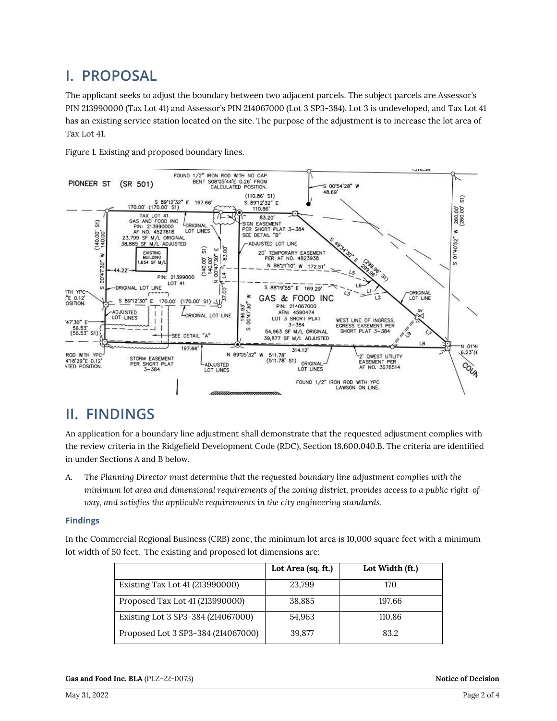### **I. PROPOSAL**

The applicant seeks to adjust the boundary between two adjacent parcels. The subject parcels are Assessor's PIN 213990000 (Tax Lot 41) and Assessor's PIN 214067000 (Lot 3 SP3-384). Lot 3 is undeveloped, and Tax Lot 41 has an existing service station located on the site. The purpose of the adjustment is to increase the lot area of Tax Lot 41.



Figure 1. Existing and proposed boundary lines.

### **II. FINDINGS**

An application for a boundary line adjustment shall demonstrate that the requested adjustment complies with the review criteria in the Ridgefield Development Code (RDC), Section 18.600.040.B. The criteria are identified in under Sections A and B below.

*A. The Planning Director must determine that the requested boundary line adjustment complies with the minimum lot area and dimensional requirements of the zoning district, provides access to a public right-ofway, and satisfies the applicable requirements in the city engineering standards.*

#### **Findings**

In the Commercial Regional Business (CRB) zone, the minimum lot area is 10,000 square feet with a minimum lot width of 50 feet. The existing and proposed lot dimensions are:

|                                    | Lot Area (sq. ft.) | Lot Width (ft.) |
|------------------------------------|--------------------|-----------------|
| Existing Tax Lot 41 (213990000)    | 23,799             | 170             |
| Proposed Tax Lot 41 (213990000)    | 38,885             | 197.66          |
| Existing Lot 3 SP3-384 (214067000) | 54,963             | 110.86          |
| Proposed Lot 3 SP3-384 (214067000) | 39,877             | 83.2            |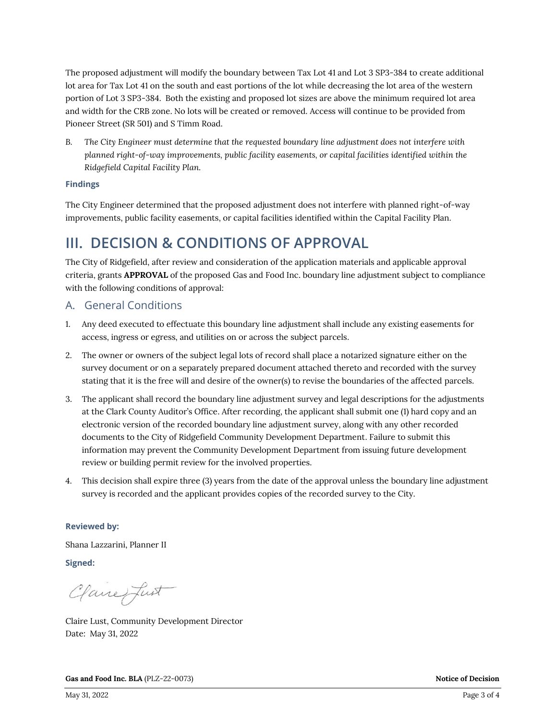The proposed adjustment will modify the boundary between Tax Lot 41 and Lot 3 SP3-384 to create additional lot area for Tax Lot 41 on the south and east portions of the lot while decreasing the lot area of the western portion of Lot 3 SP3-384. Both the existing and proposed lot sizes are above the minimum required lot area and width for the CRB zone. No lots will be created or removed. Access will continue to be provided from Pioneer Street (SR 501) and S Timm Road.

*B. The City Engineer must determine that the requested boundary line adjustment does not interfere with planned right-of-way improvements, public facility easements, or capital facilities identified within the Ridgefield Capital Facility Plan.*

#### **Findings**

The City Engineer determined that the proposed adjustment does not interfere with planned right-of-way improvements, public facility easements, or capital facilities identified within the Capital Facility Plan.

### **III. DECISION & CONDITIONS OF APPROVAL**

The City of Ridgefield, after review and consideration of the application materials and applicable approval criteria, grants **APPROVAL** of the proposed Gas and Food Inc. boundary line adjustment subject to compliance with the following conditions of approval:

#### A. General Conditions

- 1. Any deed executed to effectuate this boundary line adjustment shall include any existing easements for access, ingress or egress, and utilities on or across the subject parcels.
- 2. The owner or owners of the subject legal lots of record shall place a notarized signature either on the survey document or on a separately prepared document attached thereto and recorded with the survey stating that it is the free will and desire of the owner(s) to revise the boundaries of the affected parcels.
- 3. The applicant shall record the boundary line adjustment survey and legal descriptions for the adjustments at the Clark County Auditor's Office. After recording, the applicant shall submit one (1) hard copy and an electronic version of the recorded boundary line adjustment survey, along with any other recorded documents to the City of Ridgefield Community Development Department. Failure to submit this information may prevent the Community Development Department from issuing future development review or building permit review for the involved properties.
- 4. This decision shall expire three (3) years from the date of the approval unless the boundary line adjustment survey is recorded and the applicant provides copies of the recorded survey to the City.

#### **Reviewed by:**

Shana Lazzarini, Planner II

**Signed:** 

Clane fust

Claire Lust, Community Development Director Date: May 31, 2022